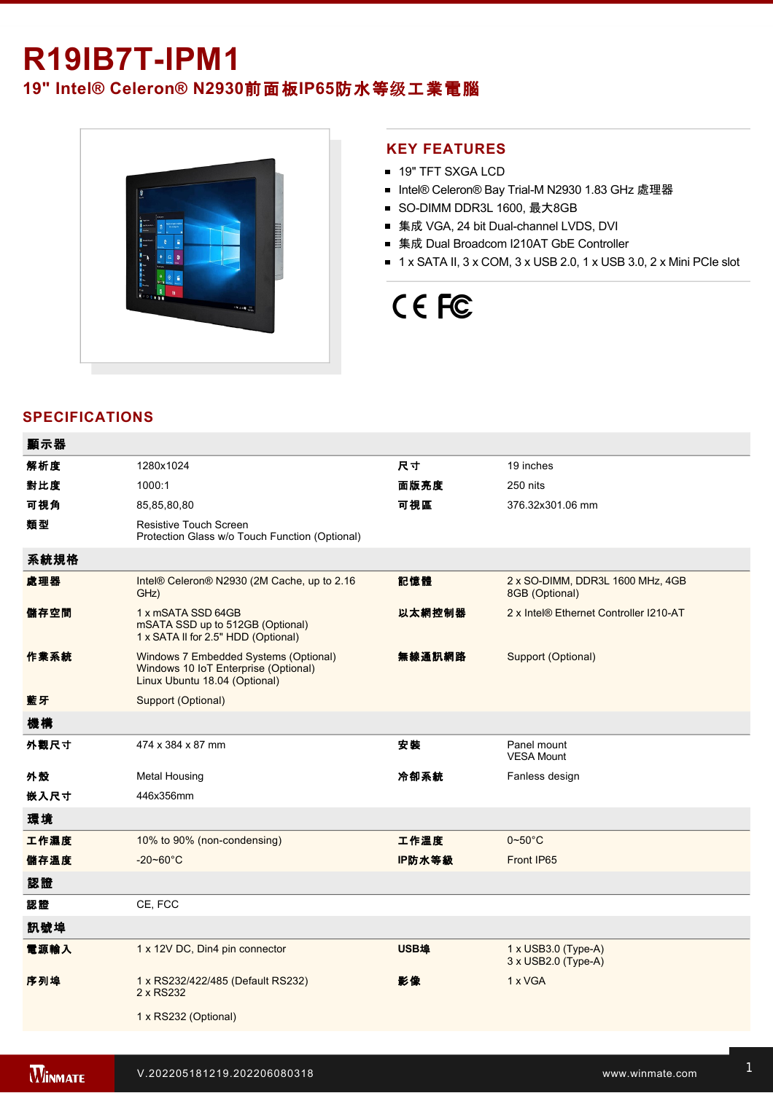## **R19IB7T-IPM1**

### **19" Intel® Celeron® N2930**前面板**IP65**防水等级工業電腦



#### **KEY FEATURES**

- **19" TFT SXGA LCD**
- Intel® Celeron® Bay Trial-M N2930 1.83 GHz 處理器
- SO-DIMM DDR3L 1600, 最大8GB
- 集成 VGA, 24 bit Dual-channel LVDS, DVI
- 集成 Dual Broadcom I210AT GbE Controller
- $\blacksquare$  1 x SATA II, 3 x COM, 3 x USB 2.0, 1 x USB 3.0, 2 x Mini PCIe slot

# CE FC

### **SPECIFICATIONS**

| 顯示器  |                                                                                                                |        |                                                          |
|------|----------------------------------------------------------------------------------------------------------------|--------|----------------------------------------------------------|
| 解析度  | 1280x1024                                                                                                      | 尺寸     | 19 inches                                                |
| 對比度  | 1000:1                                                                                                         | 面版亮度   | 250 nits                                                 |
| 可視角  | 85,85,80,80                                                                                                    | 可視區    | 376.32x301.06 mm                                         |
| 類型   | Resistive Touch Screen<br>Protection Glass w/o Touch Function (Optional)                                       |        |                                                          |
| 系統規格 |                                                                                                                |        |                                                          |
| 處理器  | Intel® Celeron® N2930 (2M Cache, up to 2.16<br>GHz)                                                            | 記憶體    | 2 x SO-DIMM, DDR3L 1600 MHz, 4GB<br>8GB (Optional)       |
| 儲存空間 | 1 x mSATA SSD 64GB<br>mSATA SSD up to 512GB (Optional)<br>1 x SATA II for 2.5" HDD (Optional)                  | 以太網控制器 | 2 x Intel® Ethernet Controller I210-AT                   |
| 作業系統 | Windows 7 Embedded Systems (Optional)<br>Windows 10 IoT Enterprise (Optional)<br>Linux Ubuntu 18.04 (Optional) | 無線通訊網路 | Support (Optional)                                       |
| 藍牙   | Support (Optional)                                                                                             |        |                                                          |
| 機構   |                                                                                                                |        |                                                          |
| 外觀尺寸 | 474 x 384 x 87 mm                                                                                              | 安裝     | Panel mount<br><b>VESA Mount</b>                         |
| 外殼   | <b>Metal Housing</b>                                                                                           | 冷卻系統   | Fanless design                                           |
| 嵌入尺寸 | 446x356mm                                                                                                      |        |                                                          |
| 環境   |                                                                                                                |        |                                                          |
| 工作濕度 | 10% to 90% (non-condensing)                                                                                    | 工作溫度   | $0 - 50$ °C                                              |
| 儲存溫度 | $-20 - 60^{\circ}$ C                                                                                           | IP防水等級 | Front IP65                                               |
| 認證   |                                                                                                                |        |                                                          |
| 認證   | CE, FCC                                                                                                        |        |                                                          |
| 訊號埠  |                                                                                                                |        |                                                          |
| 電源輸入 | 1 x 12V DC, Din4 pin connector                                                                                 | USB埠   | $1 \times$ USB3.0 (Type-A)<br>$3 \times$ USB2.0 (Type-A) |
| 序列埠  | 1 x RS232/422/485 (Default RS232)<br>2 x RS232                                                                 | 影像     | 1 x VGA                                                  |
|      | 1 x RS232 (Optional)                                                                                           |        |                                                          |
|      |                                                                                                                |        |                                                          |

Line in

1 x Led indicator for storage and storage in the storage storage in the storage storage in the storage storage